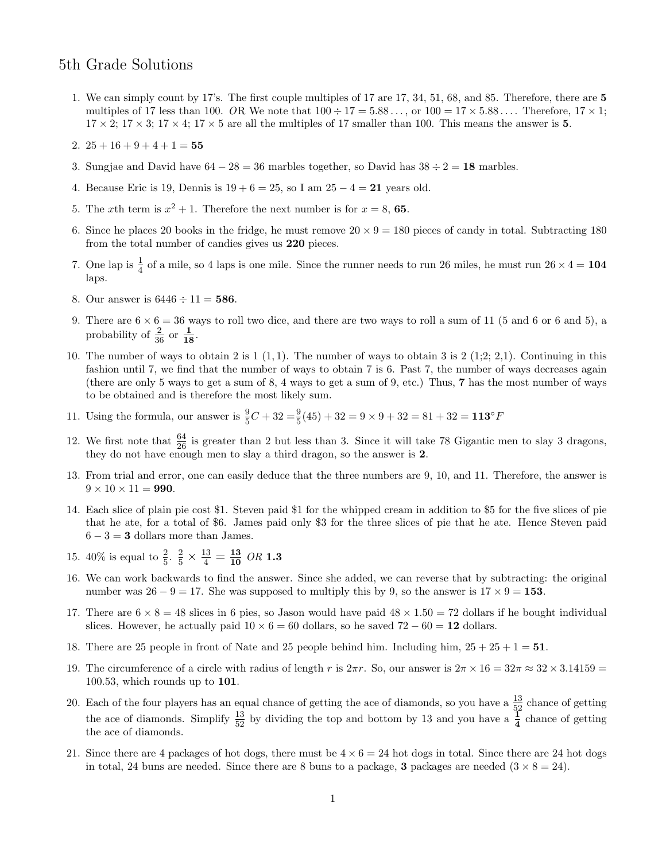## 5th Grade Solutions

- 1. We can simply count by 17's. The first couple multiples of 17 are 17, 34, 51, 68, and 85. Therefore, there are 5 multiples of 17 less than 100. OR We note that  $100 \div 17 = 5.88...$ , or  $100 = 17 \times 5.88...$  Therefore,  $17 \times 1$ ;  $17 \times 2$ ;  $17 \times 3$ ;  $17 \times 4$ ;  $17 \times 5$  are all the multiples of 17 smaller than 100. This means the answer is 5.
- 2.  $25 + 16 + 9 + 4 + 1 = 55$
- 3. Sungjae and David have  $64 28 = 36$  marbles together, so David has  $38 \div 2 = 18$  marbles.
- 4. Because Eric is 19, Dennis is  $19 + 6 = 25$ , so I am  $25 4 = 21$  years old.
- 5. The x<sup>th</sup> term is  $x^2 + 1$ . Therefore the next number is for  $x = 8$ , **65**.
- 6. Since he places 20 books in the fridge, he must remove  $20 \times 9 = 180$  pieces of candy in total. Subtracting 180 from the total number of candies gives us 220 pieces.
- 7. One lap is  $\frac{1}{4}$  of a mile, so 4 laps is one mile. Since the runner needs to run 26 miles, he must run  $26 \times 4 = 104$ laps.
- 8. Our answer is  $6446 \div 11 = 586$ .
- 9. There are  $6 \times 6 = 36$  ways to roll two dice, and there are two ways to roll a sum of 11 (5 and 6 or 6 and 5), a probability of  $\frac{2}{36}$  or  $\frac{1}{18}$ .
- 10. The number of ways to obtain 2 is 1 (1, 1). The number of ways to obtain 3 is 2 (1;2; 2,1). Continuing in this fashion until 7, we find that the number of ways to obtain 7 is 6. Past 7, the number of ways decreases again (there are only 5 ways to get a sum of 8, 4 ways to get a sum of 9, etc.) Thus, 7 has the most number of ways to be obtained and is therefore the most likely sum.
- 11. Using the formula, our answer is  $\frac{9}{5}C + 32 = \frac{9}{5}(45) + 32 = 9 \times 9 + 32 = 81 + 32 = 113^\circ F$
- 12. We first note that  $\frac{64}{26}$  is greater than 2 but less than 3. Since it will take 78 Gigantic men to slay 3 dragons, they do not have enough men to slay a third dragon, so the answer is 2.
- 13. From trial and error, one can easily deduce that the three numbers are 9, 10, and 11. Therefore, the answer is  $9 \times 10 \times 11 = 990.$
- 14. Each slice of plain pie cost \$1. Steven paid \$1 for the whipped cream in addition to \$5 for the five slices of pie that he ate, for a total of \$6. James paid only \$3 for the three slices of pie that he ate. Hence Steven paid  $6 - 3 = 3$  dollars more than James.
- 15. 40% is equal to  $\frac{2}{5}$ .  $\frac{2}{5} \times \frac{13}{4} = \frac{13}{10}$  OR **1.3**
- 16. We can work backwards to find the answer. Since she added, we can reverse that by subtracting: the original number was  $26 - 9 = 17$ . She was supposed to multiply this by 9, so the answer is  $17 \times 9 = 153$ .
- 17. There are  $6 \times 8 = 48$  slices in 6 pies, so Jason would have paid  $48 \times 1.50 = 72$  dollars if he bought individual slices. However, he actually paid  $10 \times 6 = 60$  dollars, so he saved  $72 - 60 = 12$  dollars.
- 18. There are 25 people in front of Nate and 25 people behind him. Including him,  $25 + 25 + 1 = 51$ .
- 19. The circumference of a circle with radius of length r is  $2\pi r$ . So, our answer is  $2\pi \times 16 = 32\pi \approx 32 \times 3.14159$ 100.53, which rounds up to 101.
- 20. Each of the four players has an equal chance of getting the ace of diamonds, so you have a  $\frac{13}{52}$  chance of getting the ace of diamonds. Simplify  $\frac{13}{52}$  by dividing the top and bottom by 13 and you have a  $\frac{1}{4}$  chance of getting the ace of diamonds.
- 21. Since there are 4 packages of hot dogs, there must be  $4 \times 6 = 24$  hot dogs in total. Since there are 24 hot dogs in total, 24 buns are needed. Since there are 8 buns to a package, 3 packages are needed  $(3 \times 8 = 24)$ .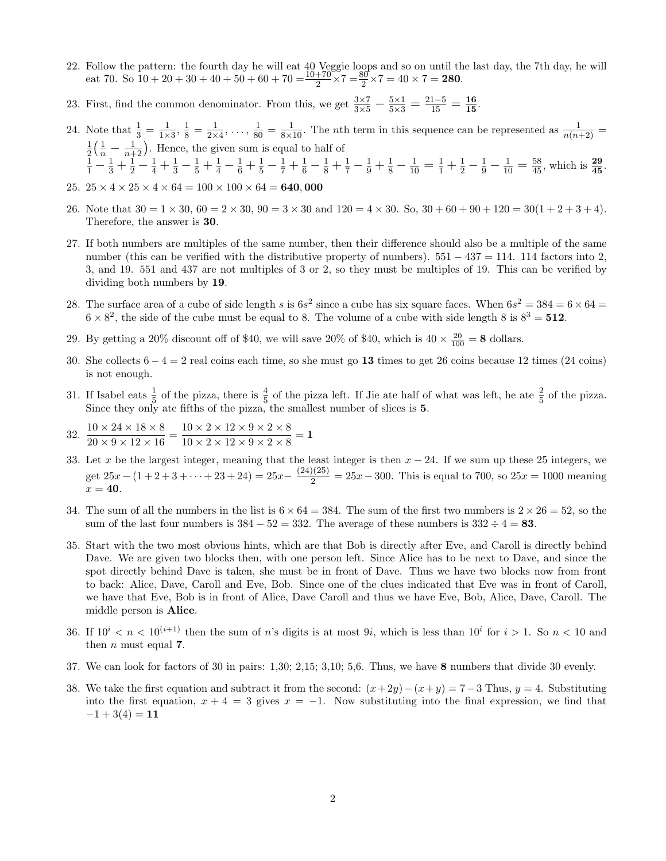- 22. Follow the pattern: the fourth day he will eat 40 Veggie loops and so on until the last day, the 7th day, he will eat 70. So  $10 + 20 + 30 + 40 + 50 + 60 + 70 = \frac{10 + 70}{2} \times 7 = \frac{80}{2} \times 7 = 40 \times 7 = 280.$
- 23. First, find the common denominator. From this, we get  $\frac{3 \times 7}{3 \times 5} \frac{5 \times 1}{5 \times 3} = \frac{21 5}{15} = \frac{16}{15}$ .

24. Note that  $\frac{1}{3} = \frac{1}{1 \times 3}$  $\frac{1}{1\times 3}$ ,  $\frac{1}{8}$  $\frac{1}{8} = \frac{1}{2 \times}$  $\frac{1}{2\times4}$ , ...,  $\frac{1}{80} = \frac{1}{8\times10}$ . The *n*th term in this sequence can be represented as  $\frac{1}{n(n+2)}$ 1  $\frac{1}{2}(\frac{1}{n}-\frac{1}{n+2})$ . Hence, the given sum is equal to half of  $\frac{1}{1} - \frac{1}{3} + \frac{1}{2} - \frac{1}{4} + \frac{1}{3} - \frac{1}{5} + \frac{1}{4} - \frac{1}{6} + \frac{1}{5} - \frac{1}{7} + \frac{1}{6} - \frac{1}{8} + \frac{1}{7} - \frac{1}{9} + \frac{1}{8} - \frac{1}{10} = \frac{1}{1} + \frac{1}{2} - \frac{1}{9} - \frac{1}{10} = \frac{58}{45}$ , which is  $\frac{29}{45}$ .

- 25.  $25 \times 4 \times 25 \times 4 \times 64 = 100 \times 100 \times 64 =$  640,000
- 26. Note that  $30 = 1 \times 30$ ,  $60 = 2 \times 30$ ,  $90 = 3 \times 30$  and  $120 = 4 \times 30$ . So,  $30 + 60 + 90 + 120 = 30(1 + 2 + 3 + 4)$ . Therefore, the answer is 30.
- 27. If both numbers are multiples of the same number, then their difference should also be a multiple of the same number (this can be verified with the distributive property of numbers).  $551 - 437 = 114$ . 114 factors into 2, 3, and 19. 551 and 437 are not multiples of 3 or 2, so they must be multiples of 19. This can be verified by dividing both numbers by 19.
- 28. The surface area of a cube of side length s is  $6s^2$  since a cube has six square faces. When  $6s^2 = 384 = 6 \times 64 = 10$  $6 \times 8^2$ , the side of the cube must be equal to 8. The volume of a cube with side length 8 is  $8^3 = 512$ .
- 29. By getting a 20% discount off of \$40, we will save 20% of \$40, which is  $40 \times \frac{20}{100} = 8$  dollars.
- 30. She collects  $6 4 = 2$  real coins each time, so she must go 13 times to get 26 coins because 12 times (24 coins) is not enough.
- 31. If Isabel eats  $\frac{1}{5}$  of the pizza, there is  $\frac{4}{5}$  of the pizza left. If Jie ate half of what was left, he ate  $\frac{2}{5}$  of the pizza. Since they only ate fifths of the pizza, the smallest number of slices is 5.

32. 
$$
\frac{10 \times 24 \times 18 \times 8}{20 \times 9 \times 12 \times 16} = \frac{10 \times 2 \times 12 \times 9 \times 2 \times 8}{10 \times 2 \times 12 \times 9 \times 2 \times 8} = 1
$$

- 33. Let x be the largest integer, meaning that the least integer is then  $x 24$ . If we sum up these 25 integers, we get  $25x - (1 + 2 + 3 + \cdots + 23 + 24) = 25x - \frac{(24)(25)}{2}$  $\frac{2(25)}{2}$  = 25x – 300. This is equal to 700, so  $25x = 1000$  meaning  $x = 40.$
- 34. The sum of all the numbers in the list is  $6 \times 64 = 384$ . The sum of the first two numbers is  $2 \times 26 = 52$ , so the sum of the last four numbers is  $384 - 52 = 332$ . The average of these numbers is  $332 \div 4 = 83$ .
- 35. Start with the two most obvious hints, which are that Bob is directly after Eve, and Caroll is directly behind Dave. We are given two blocks then, with one person left. Since Alice has to be next to Dave, and since the spot directly behind Dave is taken, she must be in front of Dave. Thus we have two blocks now from front to back: Alice, Dave, Caroll and Eve, Bob. Since one of the clues indicated that Eve was in front of Caroll, we have that Eve, Bob is in front of Alice, Dave Caroll and thus we have Eve, Bob, Alice, Dave, Caroll. The middle person is Alice.
- 36. If  $10^i < n < 10^{(i+1)}$  then the sum of n's digits is at most  $9i$ , which is less than  $10^i$  for  $i > 1$ . So  $n < 10$  and then  $n$  must equal  $7$ .
- 37. We can look for factors of 30 in pairs: 1,30; 2,15; 3,10; 5,6. Thus, we have 8 numbers that divide 30 evenly.
- 38. We take the first equation and subtract it from the second:  $(x+2y)-(x+y)=7-3$  Thus,  $y=4$ . Substituting into the first equation,  $x + 4 = 3$  gives  $x = -1$ . Now substituting into the final expression, we find that  $-1 + 3(4) = 11$